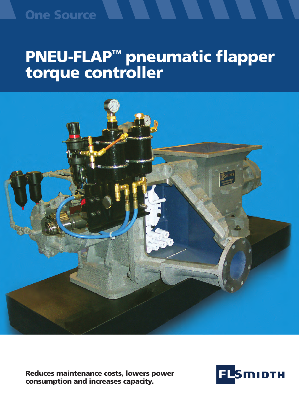### **One Source**

# PNEU-FLAP™ pneumatic flapper torque controller



Reduces maintenance costs, lowers power consumption and increases capacity.